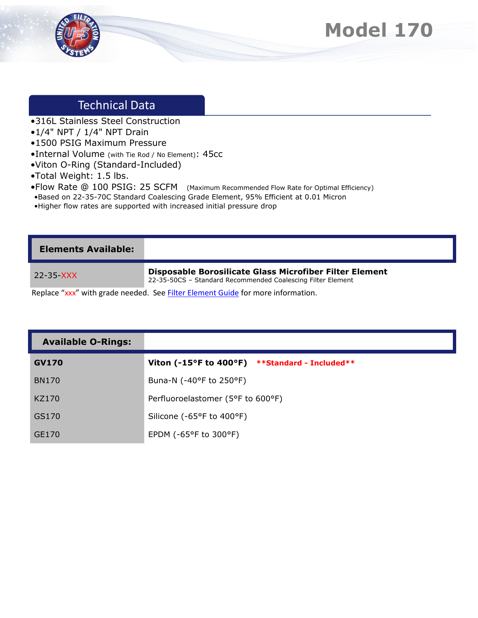



## Technical Data

- •316L Stainless Steel Construction
- •1/4" NPT / 1/4" NPT Drain
- •1500 PSIG Maximum Pressure
- •Internal Volume (with Tie Rod / No Element): 45cc
- •Viton O-Ring (Standard-Included)
- •Total Weight: 1.5 lbs.
- •Flow Rate @ 100 PSIG: 25 SCFM (Maximum Recommended Flow Rate for Optimal Efficiency)
- •Based on 22-35-70C Standard Coalescing Grade Element, 95% Efficient at 0.01 Micron
- •Higher flow rates are supported with increased initial pressure drop

| <b>Elements Available:</b> |                                                                                                                        |
|----------------------------|------------------------------------------------------------------------------------------------------------------------|
| 22-35-XXX                  | Disposable Borosilicate Glass Microfiber Filter Element<br>22-35-50CS - Standard Recommended Coalescing Filter Element |
|                            | Replace "xxx" with grade needed. See Filter Element Guide for more information.                                        |

| <b>Available O-Rings:</b> |                                                |
|---------------------------|------------------------------------------------|
| <b>GV170</b>              | Viton (-15°F to 400°F) **Standard - Included** |
| <b>BN170</b>              | Buna-N (-40°F to 250°F)                        |
| KZ170                     | Perfluoroelastomer (5°F to 600°F)              |
| GS170                     | Silicone (-65°F to 400°F)                      |
| GE170                     | EPDM ( $-65^{\circ}$ F to 300 $^{\circ}$ F)    |